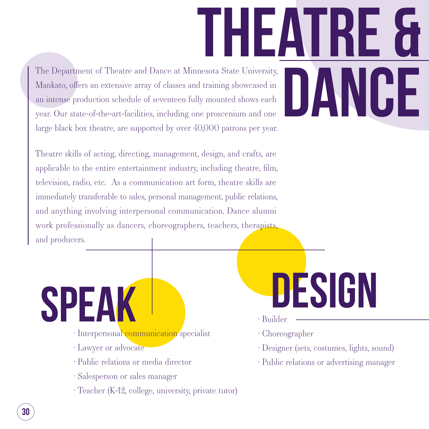The Department of Theatre and Dance at Minnesota State University, The Department of Theatre and Dance at Minnesota State University,<br>Mankato, offers an extensive array of classes and training showcased in<br>an intense production schedule of seventeen fully mounted shows each<br>year. Our stat Mankato, offers an extensive array of classes and training showcased in an intense production schedule of seventeen fully mounted shows each year. Our state-of-the-art-facilities, including one proscenium and one large black box theatre, are supported by over 40,000 patrons per year.

Theatre skills of acting, directing, management, design, and crafts, are applicable to the entire entertainment industry, including theatre, film, television, radio, etc. As a communication art form, theatre skills are immediately transferable to sales, personal management, public relations, and anything involving interpersonal communication. Dance alumni work professionally as dancers, choreographers, teachers, therapists, and producers.

- design
- � Builder
- $\cdot$  Choreographer
- � Designer (sets, costumes, lights, sound)
- � Public relations or advertising manager
- · Interpersonal communication specialist
- **· Lawyer or advocate**

**SPEA** 

- � Public relations or media director
- � Salesperson or sales manager
- � Teacher (K-12, college, university, private tutor)